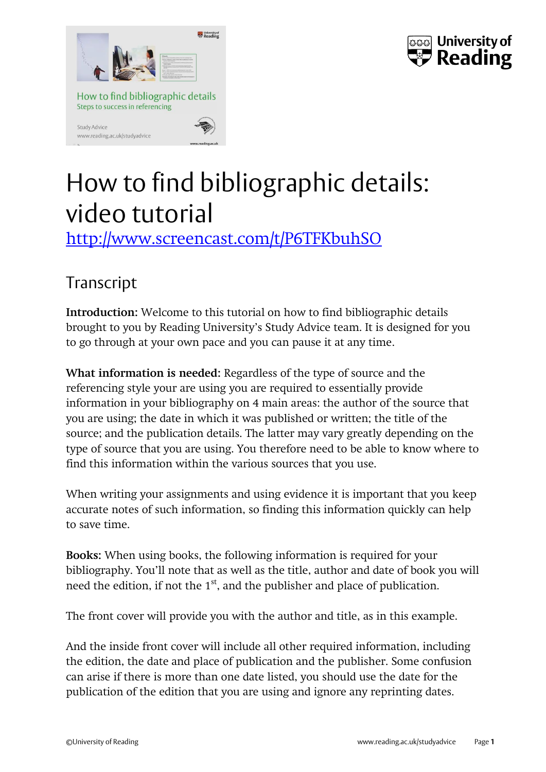



## How to find bibliographic details: video tutorial

<http://www.screencast.com/t/P6TFKbuhSO>

## Transcript

**Introduction:** Welcome to this tutorial on how to find bibliographic details brought to you by Reading University's Study Advice team. It is designed for you to go through at your own pace and you can pause it at any time.

**What information is needed:** Regardless of the type of source and the referencing style your are using you are required to essentially provide information in your bibliography on 4 main areas: the author of the source that you are using; the date in which it was published or written; the title of the source; and the publication details. The latter may vary greatly depending on the type of source that you are using. You therefore need to be able to know where to find this information within the various sources that you use.

When writing your assignments and using evidence it is important that you keep accurate notes of such information, so finding this information quickly can help to save time.

**Books:** When using books, the following information is required for your bibliography. You'll note that as well as the title, author and date of book you will need the edition, if not the 1<sup>st</sup>, and the publisher and place of publication.

The front cover will provide you with the author and title, as in this example.

And the inside front cover will include all other required information, including the edition, the date and place of publication and the publisher. Some confusion can arise if there is more than one date listed, you should use the date for the publication of the edition that you are using and ignore any reprinting dates.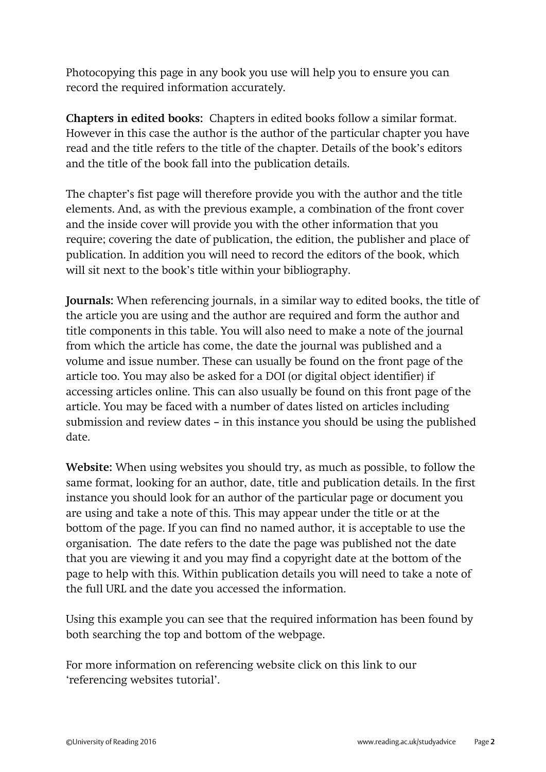Photocopying this page in any book you use will help you to ensure you can record the required information accurately.

**Chapters in edited books:** Chapters in edited books follow a similar format. However in this case the author is the author of the particular chapter you have read and the title refers to the title of the chapter. Details of the book's editors and the title of the book fall into the publication details.

The chapter's fist page will therefore provide you with the author and the title elements. And, as with the previous example, a combination of the front cover and the inside cover will provide you with the other information that you require; covering the date of publication, the edition, the publisher and place of publication. In addition you will need to record the editors of the book, which will sit next to the book's title within your bibliography.

**Journals:** When referencing journals, in a similar way to edited books, the title of the article you are using and the author are required and form the author and title components in this table. You will also need to make a note of the journal from which the article has come, the date the journal was published and a volume and issue number. These can usually be found on the front page of the article too. You may also be asked for a DOI (or digital object identifier) if accessing articles online. This can also usually be found on this front page of the article. You may be faced with a number of dates listed on articles including submission and review dates – in this instance you should be using the published date.

**Website:** When using websites you should try, as much as possible, to follow the same format, looking for an author, date, title and publication details. In the first instance you should look for an author of the particular page or document you are using and take a note of this. This may appear under the title or at the bottom of the page. If you can find no named author, it is acceptable to use the organisation. The date refers to the date the page was published not the date that you are viewing it and you may find a copyright date at the bottom of the page to help with this. Within publication details you will need to take a note of the full URL and the date you accessed the information.

Using this example you can see that the required information has been found by both searching the top and bottom of the webpage.

For more information on referencing website click on this link to our 'referencing websites tutorial'.